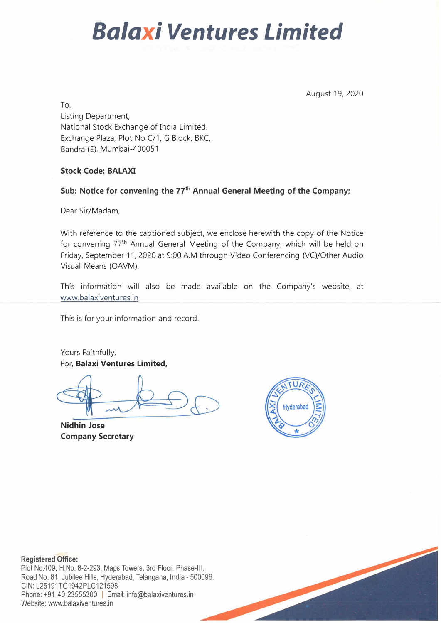# *Balaxi Ventures Limited*

August 19, 2020

To, Listing Department, National Stock Exchange of India Limited. Exchange Plaza, Plot No C/1, G Block, BKC, Sandra (E), Mumbai-400051

#### **Stock Code: BALAXI**

#### **Sub: Notice for convening the 77**th **Annual General Meeting of the Company;**

Dear Sir/Madam,

With reference to the captioned subject, we enclose herewith the copy of the Notice for convening 77th Annual General Meeting of the Company, which will be held on Friday, September 11, 2020 at 9:00 AM through Video Conferencing (VC)/Other Audio Visual Means (OAVM).

This information will also be made available on the Company's website, at www.balaxiventures.in

This is for your information and record.

Yours Faithfully, For, **Balaxi Ventures Limited,** 

**Nidhin Jose Company Secretary** 



#### **Registered Office:**

Plot No.409, H.No. 8-2-293, Maps Towers, 3rd Floor, Phase-Ill, Road No. 81, Jubilee Hills, Hyderabad, Telangana, India - 500096. CIN:L25191TG1942PLC121598 Phone: +91 40 23555300 | Email: info@balaxiventures.in Website: www.balaxiventures.in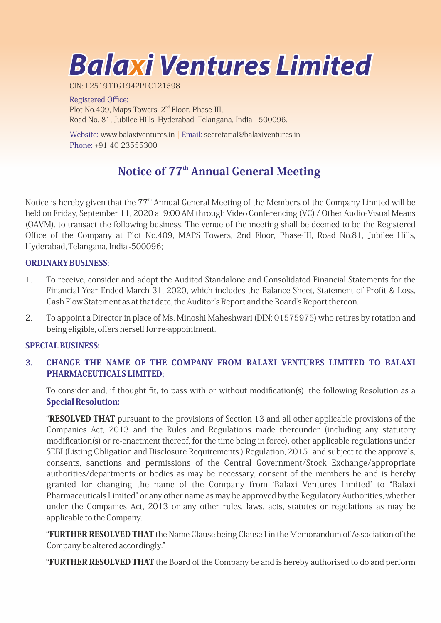**Balaxi Ventures Limited**

CIN:L25191TG1942PLC121598

Registered Office: Plot No.409, Maps Towers, 2<sup>nd</sup> Floor, Phase-III, Road No. 81, Jubilee Hills, Hyderabad, Telangana, India - 500096.

Website: www.balaxiventures.in | Email: secretarial@balaxiventures.in Phone:+914023555300

### Notice of 77<sup>th</sup> Annual General Meeting

Notice is hereby given that the 77<sup>th</sup> Annual General Meeting of the Members of the Company Limited will be held on Friday, September 11, 2020 at 9:00 AM through Video Conferencing (VC) / Other Audio-Visual Means (OAVM), to transact the following business. The venue of the meeting shall be deemed to be the Registered Office of the Company at Plot No.409, MAPS Towers, 2nd Floor, Phase-III, Road No.81, Jubilee Hills, Hyderabad, Telangana, India - 500096;

#### ORDINARYBUSINESS:

- 1. To receive, consider and adopt the Audited Standalone and Consolidated Financial Statements for the Financial Year Ended March 31, 2020, which includes the Balance Sheet, Statement of Profit & Loss, Cash Flow Statement as at that date, the Auditor's Report and the Board's Report thereon.
- 2. To appoint a Director in place of Ms. Minoshi Maheshwari (DIN: 01575975) who retires by rotation and being eligible, offers herself for re-appointment.

#### SPECIAL BUSINESS:

#### 3. CHANGE THE NAME OF THE COMPANY FROM BALAXI VENTURES LIMITED TO BALAXI PHARMACEUTICALSLIMITED;

To consider and, if thought fit, to pass with or without modification(s), the following Resolution as a **Special Resolution:** 

**"RESOLVED THAT** pursuant to the provisions of Section 13 and all other applicable provisions of the Companies Act, 2013 and the Rules and Regulations made thereunder (including any statutory modification(s) or re-enactment thereof, for the time being in force), other applicable regulations under SEBI (Listing Obligation and Disclosure Requirements) Regulation, 2015 and subject to the approvals, consents, sanctions and permissions of the Central Government/Stock Exchange/appropriate authorities/departments or bodies as may be necessary, consent of the members be and is hereby granted for changing the name of the Company from ʻBalaxi Ventures Limited' to "Balaxi Pharmaceuticals Limited" or any other name as may be approved by the Regulatory Authorities, whether under the Companies Act, 2013 or any other rules, laws, acts, statutes or regulations as may be applicable to the Company.

"FURTHER RESOLVED THAT the Name Clause being Clause I in the Memorandum of Association of the Company be altered accordingly."

"FURTHER RESOLVED THAT the Board of the Company be and is hereby authorised to do and perform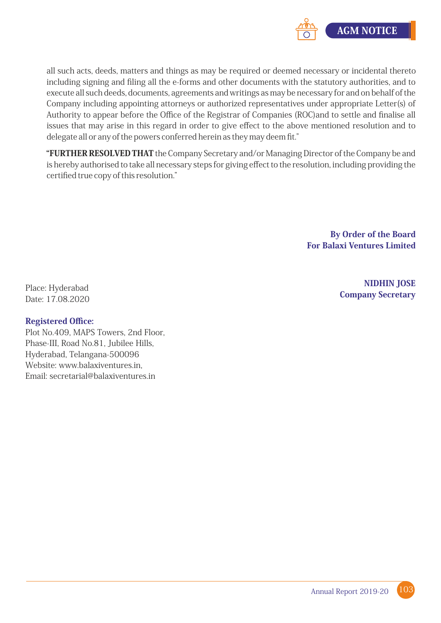

all such acts, deeds, matters and things as may be required or deemed necessary or incidental thereto including signing and filing all the e-forms and other documents with the statutory authorities, and to execute all such deeds, documents, agreements and writings as may be necessary for and on behalf of the Company including appointing attorneys or authorized representatives under appropriate Letter(s) of Authority to appear before the Office of the Registrar of Companies (ROC)and to settle and finalise all issues that may arise in this regard in order to give effect to the above mentioned resolution and to delegate all or any of the powers conferred herein as they may deem fit."

"FURTHER RESOLVED THAT the Company Secretary and/or Managing Director of the Company be and is hereby authorised to take all necessary steps for giving effect to the resolution, including providing the certified true copy of this resolution."

> By Order of the Board For Balaxi Ventures Limited

> > **NIDHIN JOSE Company Secretary**

Place: Hyderabad Date:17.08.2020

#### Registered Office:

Plot No.409, MAPS Towers, 2nd Floor, Phase-III, Road No.81, Jubilee Hills, Hyderabad, Telangana-500096 Website: www.balaxiventures.in, Email:secretarial@balaxiventures.in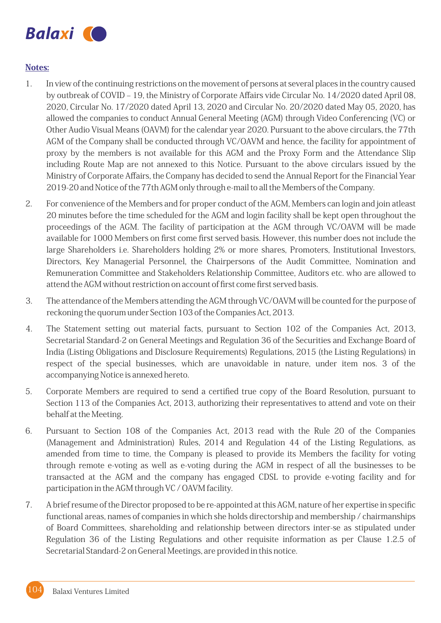

#### Notes:

- 1. In view of the continuing restrictions on the movement of persons at several places in the country caused by outbreak of COVID – 19, the Ministry of Corporate Affairs vide Circular No. 14/2020 dated April 08, 2020, Circular No. 17/2020 dated April 13, 2020 and Circular No. 20/2020 dated May 05, 2020, has allowed the companies to conduct Annual General Meeting (AGM) through Video Conferencing (VC) or Other Audio Visual Means (OAVM) for the calendar year 2020. Pursuant to the above circulars, the 77th AGM of the Company shall be conducted through VC/OAVM and hence, the facility for appointment of proxy by the members is not available for this AGM and the Proxy Form and the Attendance Slip including Route Map are not annexed to this Notice. Pursuant to the above circulars issued by the Ministry of Corporate Affairs, the Company has decided to send the Annual Report for the Financial Year 2019-20 and Notice of the 77th AGM only through e-mail to all the Members of the Company.
- 2. For convenience of the Members and for proper conduct of the AGM, Members can login and join atleast 20 minutes before the time scheduled for the AGM and login facility shall be kept open throughout the proceedings of the AGM. The facility of participation at the AGM through VC/OAVM will be made available for 1000 Members on first come first served basis. However, this number does not include the large Shareholders i.e. Shareholders holding 2% or more shares, Promoters, Institutional Investors, Directors, Key Managerial Personnel, the Chairpersons of the Audit Committee, Nomination and Remuneration Committee and Stakeholders Relationship Committee, Auditors etc. who are allowed to attend the AGM without restriction on account of first come first served basis.
- 3. The attendance of the Members attending the AGM through VC/OAVM will be counted for the purpose of reckoning the quorum under Section 103 of the Companies Act, 2013.
- 4. The Statement setting out material facts, pursuant to Section 102 of the Companies Act, 2013, Secretarial Standard-2 on General Meetings and Regulation 36 of the Securities and Exchange Board of India (Listing Obligations and Disclosure Requirements) Regulations, 2015 (the Listing Regulations) in respect of the special businesses, which are unavoidable in nature, under item nos. 3 of the accompanying Notice is annexed hereto.
- 5. Corporate Members are required to send a certified true copy of the Board Resolution, pursuant to Section 113 of the Companies Act, 2013, authorizing their representatives to attend and vote on their behalf at the Meeting.
- 6. Pursuant to Section 108 of the Companies Act, 2013 read with the Rule 20 of the Companies (Management and Administration) Rules, 2014 and Regulation 44 of the Listing Regulations, as amended from time to time, the Company is pleased to provide its Members the facility for voting through remote e-voting as well as e-voting during the AGM in respect of all the businesses to be transacted at the AGM and the company has engaged CDSL to provide e-voting facility and for participation in the AGM through VC / OAVM facility.
- 7. Abrief resume of the Director proposed to be re-appointed at this AGM, nature of her expertise in specific functional areas, names of companies in which she holds directorship and membership / chairmanships of Board Committees, shareholding and relationship between directors inter-se as stipulated under Regulation 36 of the Listing Regulations and other requisite information as per Clause 1.2.5 of Secretarial Standard-2 on General Meetings, are provided in this notice.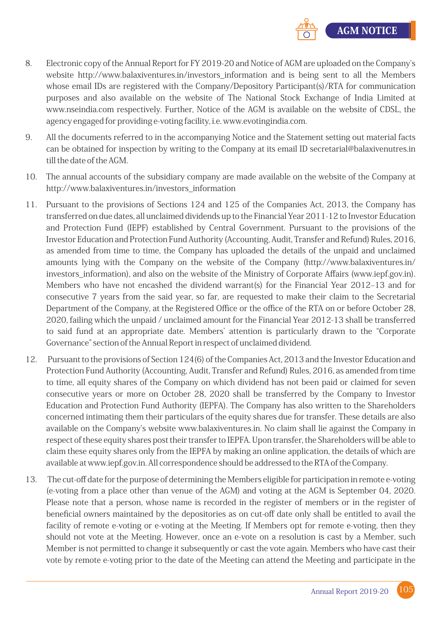

- 8. Electronic copy of the Annual Report for FY 2019-20 and Notice of AGM are uploaded on the Company's website http://www.balaxiventures.in/investors\_information and is being sent to all the Members whose email IDs are registered with the Company/Depository Participant(s)/RTA for communication purposes and also available on the website of The National Stock Exchange of India Limited at www.nseindia.com respectively. Further, Notice of the AGM is available on the website of CDSL, the agency engaged for providing e-voting facility, i.e. www.evotingindia.com.
- 9. All the documents referred to in the accompanying Notice and the Statement setting out material facts can be obtained for inspection by writing to the Company at its email ID secretarial@balaxivenutres.in till the date of the AGM.
- 10. The annual accounts of the subsidiary company are made available on the website of the Company at http://www.balaxiventures.in/investors\_information
- 11. Pursuant to the provisions of Sections 124 and 125 of the Companies Act, 2013, the Company has transferred on due dates, all unclaimed dividends up to the Financial Year 2011-12 to Investor Education and Protection Fund (IEPF) established by Central Government. Pursuant to the provisions of the Investor Education and Protection Fund Authority (Accounting, Audit, Transfer and Refund) Rules, 2016, as amended from time to time, the Company has uploaded the details of the unpaid and unclaimed amounts lying with the Company on the website of the Company (http://www.balaxiventures.in/ investors\_information), and also on the website of the Ministry of Corporate Affairs (www.iepf.gov.in). Members who have not encashed the dividend warrant(s) for the Financial Year 2012–13 and for consecutive 7 years from the said year, so far, are requested to make their claim to the Secretarial Department of the Company, at the Registered Office or the office of the RTA on or before October 28, 2020, failing which the unpaid / unclaimed amount for the Financial Year 2012-13 shall be transferred to said fund at an appropriate date. Members' attention is particularly drawn to the "Corporate Governance" section of the Annual Report in respect of unclaimed dividend.
- 12. Pursuant to the provisions of Section 124(6) of the Companies Act, 2013 and the Investor Education and Protection Fund Authority (Accounting, Audit, Transfer and Refund) Rules, 2016, as amended from time to time, all equity shares of the Company on which dividend has not been paid or claimed for seven consecutive years or more on October 28, 2020 shall be transferred by the Company to Investor Education and Protection Fund Authority (IEPFA). The Company has also written to the Shareholders concerned intimating them their particulars of the equity shares due for transfer. These details are also available on the Company's website www.balaxiventures.in. No claim shall lie against the Company in respect of these equity shares post their transfer to IEPFA. Upon transfer, the Shareholders will be able to claim these equity shares only from the IEPFA by making an online application, the details of which are available at www.iepf.gov.in. All correspondence should be addressed to the RTA of the Company.
- 13. The cut-off date for the purpose of determining the Members eligible for participation in remote e-voting (e-voting from a place other than venue of the AGM) and voting at the AGM is September 04, 2020. Please note that a person, whose name is recorded in the register of members or in the register of beneficial owners maintained by the depositories as on cut-off date only shall be entitled to avail the facility of remote e-voting or e-voting at the Meeting. If Members opt for remote e-voting, then they should not vote at the Meeting. However, once an e-vote on a resolution is cast by a Member, such Member is not permitted to change it subsequently or cast the vote again. Members who have cast their vote by remote e-voting prior to the date of the Meeting can attend the Meeting and participate in the

105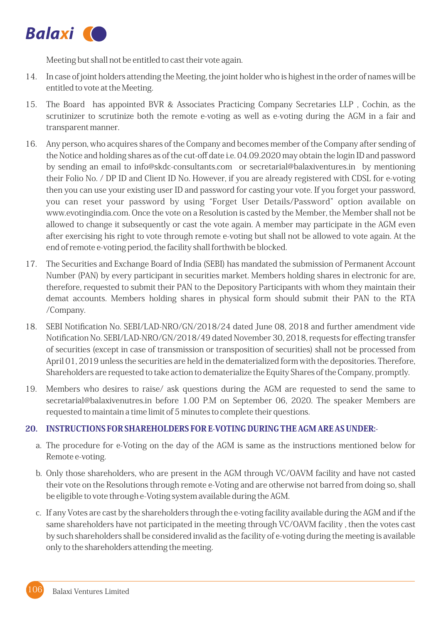![](_page_5_Picture_0.jpeg)

Meeting but shall not be entitled to cast their vote again.

- 14. In case of joint holders attending the Meeting, the joint holder who is highest in the order of names will be entitled to vote at the Meeting.
- 15. The Board has appointed BVR & Associates Practicing Company Secretaries LLP, Cochin, as the scrutinizer to scrutinize both the remote e-voting as well as e-voting during the AGM in a fair and transparent manner.
- 16. Any person, who acquires shares of the Company and becomes member of the Company after sending of the Notice and holding shares as of the cut-off date i.e. 04.09.2020 may obtain the login ID and password by sending an email to info@skdc-consultants.com or secretarial@balaxiventures.in by mentioning their Folio No. / DP ID and Client ID No. However, if you are already registered with CDSL for e-voting then you can use your existing user ID and password for casting your vote. If you forget your password, you can reset your password by using "Forget User Details/Password" option available on www.evotingindia.com. Once the vote on a Resolution is casted by the Member, the Member shall not be allowed to change it subsequently or cast the vote again. A member may participate in the AGM even after exercising his right to vote through remote e-voting but shall not be allowed to vote again. At the end of remote e-voting period, the facility shall forthwith be blocked.
- 17. The Securities and Exchange Board of India (SEBI) has mandated the submission of Permanent Account Number (PAN) by every participant in securities market. Members holding shares in electronic for are, therefore, requested to submit their PAN to the Depository Participants with whom they maintain their demat accounts. Members holding shares in physical form should submit their PAN to the RTA /Company.
- 18. SEBI Notification No. SEBI/LAD-NRO/GN/2018/24 dated June 08, 2018 and further amendment vide Notification No. SEBI/LAD-NRO/GN/2018/49 dated November 30, 2018, requests for effecting transfer of securities (except in case of transmission or transposition of securities) shall not be processed from April 01, 2019 unless the securities are held in the dematerialized form with the depositories. Therefore, Shareholders are requested to take action to dematerialize the Equity Shares of the Company, promptly.
- 19. Members who desires to raise/ ask questions during the AGM are requested to send the same to secretarial@balaxivenutres.in before 1.00 P.M on September 06, 2020. The speaker Members are requested to maintain a time limit of 5 minutes to complete their questions.

#### 20. INSTRUCTIONSFORSHAREHOLDERSFORE-VOTINGDURINGTHEAGMAREASUNDER:-

- a. The procedure for e-Voting on the day of the AGM is same as the instructions mentioned below for Remote e-voting.
- b. Only those shareholders, who are present in the AGM through VC/OAVM facility and have not casted their vote on the Resolutions through remote e-Voting and are otherwise not barred from doing so, shall be eligible to vote through e-Voting system available during the AGM.
- c. If any Votes are cast by the shareholders through the e-voting facility available during the AGM and if the same shareholders have not participated in the meeting through VC/OAVM facility, then the votes cast by such shareholders shall be considered invalid as the facility of e-voting during the meeting is available only to the shareholders attending the meeting.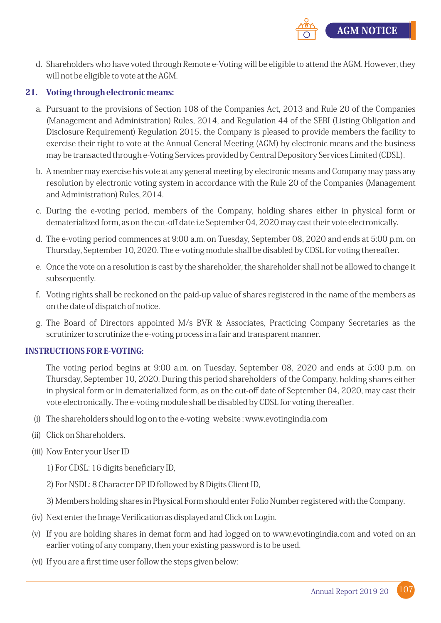![](_page_6_Picture_0.jpeg)

d. Shareholders who have voted through Remote e-Voting will be eligible to attend the AGM. However, they will not be eligible to vote at the AGM.

#### 21. Voting through electronic means:

- a. Pursuant to the provisions of Section 108 of the Companies Act, 2013 and Rule 20 of the Companies (Management and Administration) Rules, 2014, and Regulation 44 of the SEBI (Listing Obligation and Disclosure Requirement) Regulation 2015, the Company is pleased to provide members the facility to exercise their right to vote at the Annual General Meeting (AGM) by electronic means and the business may be transacted through e-Voting Services provided by Central Depository Services Limited (CDSL).
- b. A member may exercise his vote at any general meeting by electronic means and Company may pass any resolution by electronic voting system in accordance with the Rule 20 of the Companies (Management and Administration) Rules, 2014.
- c. During the e-voting period, members of the Company, holding shares either in physical form or dematerialized form, as on the cut-off date i.e September 04, 2020 may cast their vote electronically.
- d. The e-voting period commences at 9:00 a.m. on Tuesday, September 08, 2020 and ends at 5:00 p.m. on Thursday, September 10, 2020. The e-voting module shall be disabled by CDSL for voting thereafter.
- e. Once the vote on a resolution is cast by the shareholder, the shareholder shall not be allowed to change it subsequently.
- f. Voting rights shall be reckoned on the paid-up value of shares registered in the name of the members as on the date of dispatch of notice.
- g. The Board of Directors appointed M/s BVR & Associates, Practicing Company Secretaries as the scrutinizer to scrutinize the e-voting process in a fair and transparent manner.

#### INSTRUCTIONSFORE-VOTING:

The voting period begins at 9:00 a.m. on Tuesday, September 08, 2020 and ends at 5:00 p.m. on Thursday, September 10, 2020. During this period shareholders' of the Company, holding shares either in physical form or in dematerialized form, as on the cut-off date of September 04, 2020, may cast their vote electronically. The e-voting module shall be disabled by CDSL for voting thereafter.

- (i) The shareholders should log on to the e-voting website: www.evotingindia.com
- (ii) Click on Shareholders.
- (iii) Now Enter your User ID
	- 1)ForCDSL:16digitsbeneficiaryID,
	- 2) For NSDL: 8 Character DP ID followed by 8 Digits Client ID,
	- 3) Members holding shares in Physical Form should enter Folio Number registered with the Company.
- (iv) Next enter the Image Verification as displayed and Click on Login.
- (v) If you are holding shares in demat form and had logged on to www.evotingindia.com and voted on an earlier voting of any company, then your existing password is to be used.
- (vi) If you are a first time user follow the steps given below: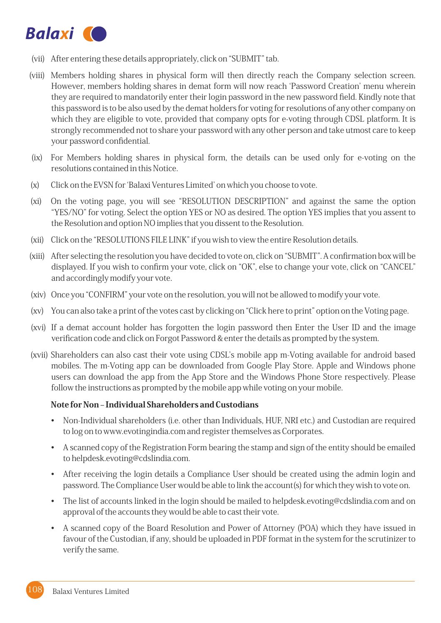![](_page_7_Picture_0.jpeg)

- (vii) After entering these details appropriately, click on "SUBMIT" tab.
- (viii) Members holding shares in physical form will then directly reach the Company selection screen. However, members holding shares in demat form will now reach 'Password Creation' menu wherein they are required to mandatorily enter their login password in the new password field. Kindly note that this password is to be also used by the demat holders for voting for resolutions of any other company on which they are eligible to vote, provided that company opts for e-voting through CDSL platform. It is strongly recommended not to share your password with any other person and take utmost care to keep your password confidential.
- (ix) For Members holding shares in physical form, the details can be used only for e-voting on the resolutions contained in this Notice.
- (x) Click on the EVSN for 'Balaxi Ventures Limited' on which you choose to vote.
- (xi) On the voting page, you will see"RESOLUTION DESCRIPTION" and against the same the option "YES/NO" for voting. Select the option YES or NO as desired. The option YES implies that you assent to the Resolution and option NO implies that you dissent to the Resolution.
- (xii) Click on the "RESOLUTIONS FILE LINK" if you wish to view the entire Resolution details.
- (xiii) After selecting the resolution you have decided to vote on, click on "SUBMIT". A confirmation box will be displayed. If you wish to confirm your vote, click on "OK", else to change your vote, click on "CANCEL" and accordingly modify your vote.
- (xiv) Once you "CONFIRM" your vote on the resolution, you will not be allowed to modify your vote.
- (xv) You can also take a print of the votes cast by clicking on "Click here to print" option on the Voting page.
- (xvi) If a demat account holder has forgotten the login password then Enter the User ID and the image verification code and click on Forgot Password & enter the details as prompted by the system.
- (xvii) Shareholders can also cast their vote using CDSL's mobile app m-Voting available for android based mobiles. The m-Voting app can be downloaded from Google Play Store. Apple and Windows phone users can download the app from the App Store and the Windows Phone Store respectively. Please follow the instructions as prompted by the mobile app while voting on your mobile.

#### Note for Non – Individual Shareholders and Custodians

- Non-Individual shareholders (i.e. other than Individuals, HUF, NRI etc.) and Custodian are required to log on to www.evotingindia.com and register themselves as Corporates.
- A scanned copy of the Registration Form bearing the stamp and sign of the entity should be emailed to helpdesk.evoting@cdslindia.com.
- After receiving the login details a Compliance User should be created using the admin login and password. The Compliance User would be able to link the account(s) for which they wish to vote on.
- The list of accounts linked in the login should be mailed to helpdesk.evoting@cdslindia.com and on approval of the accounts they would be able to cast their vote.
- A scanned copy of the Board Resolution and Power of Attorney (POA) which they have issued in favour of the Custodian, if any, should be uploaded in PDF format in the system for the scrutinizer to verify the same.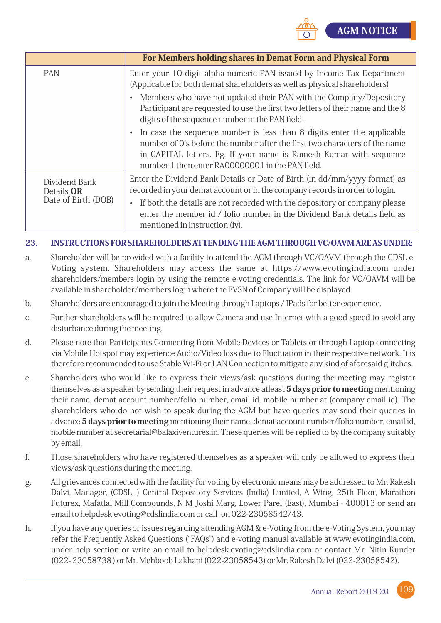![](_page_8_Picture_0.jpeg)

|                                                    | For Members holding shares in Demat Form and Physical Form                                                                                                                                                                                                                       |
|----------------------------------------------------|----------------------------------------------------------------------------------------------------------------------------------------------------------------------------------------------------------------------------------------------------------------------------------|
| PAN                                                | Enter your 10 digit alpha-numeric PAN issued by Income Tax Department<br>(Applicable for both demat shareholders as well as physical shareholders)                                                                                                                               |
|                                                    | • Members who have not updated their PAN with the Company/Depository<br>Participant are requested to use the first two letters of their name and the 8<br>digits of the sequence number in the PAN field.                                                                        |
|                                                    | • In case the sequence number is less than 8 digits enter the applicable<br>number of O's before the number after the first two characters of the name<br>in CAPITAL letters. Eg. If your name is Ramesh Kumar with sequence<br>number 1 then enter RA00000001 in the PAN field. |
| Dividend Bank<br>Details OR<br>Date of Birth (DOB) | Enter the Dividend Bank Details or Date of Birth (in dd/mm/yyyy format) as<br>recorded in your demat account or in the company records in order to login.                                                                                                                        |
|                                                    | If both the details are not recorded with the depository or company please<br>$\bullet$<br>enter the member id / folio number in the Dividend Bank details field as<br>mentioned in instruction (iv).                                                                            |

#### 23. INSTRUCTIONSFORSHAREHOLDERSATTENDINGTHEAGMTHROUGHVC/OAVMAREASUNDER:

- a. Shareholder will be provided with a facility to attend the AGM through VC/OAVM through the CDSL e-Voting system. Shareholders may access the same at https://www.evotingindia.com under shareholders/members login by using the remote e-voting credentials. The link for VC/OAVM will be available in shareholder/members login where the EVSN of Company will be displayed.
- b. Shareholders are encouraged to join the Meeting through Laptops / IPads for better experience.
- c. Further shareholders will be required to allow Camera and use Internet with a good speed to avoid any disturbance during the meeting.
- d. Please note that Participants Connecting from Mobile Devices or Tablets or through Laptop connecting via Mobile Hotspot may experience Audio/Video loss due to Fluctuation in their respective network. It is therefore recommended to use Stable Wi-Fi or LAN Connection to mitigate any kind of aforesaid glitches.
- e. Shareholders who would like to express their views/ask questions during the meeting may register themselves as a speaker by sending their request in advance atleast 5 days prior to meeting mentioning their name, demat account number/folio number, email id, mobile number at (company email id). The shareholders who do not wish to speak during the AGM but have queries may send their queries in advance 5 days prior to meeting mentioning their name, demat account number/folio number, email id, mobile number at secretarial@balaxiventures.in. These queries will be replied to by the company suitably byemail.
- f. Those shareholders who have registered themselves as a speaker will only be allowed to express their views/ask questions during the meeting.
- g. All grievances connected with the facility for voting by electronic means may be addressed to Mr. Rakesh Dalvi, Manager, (CDSL, ) Central Depository Services (India) Limited, A Wing, 25th Floor, Marathon Futurex, Mafatlal Mill Compounds, N M Joshi Marg, Lower Parel (East), Mumbai - 400013 or send an email to helpdesk.evoting@cdslindia.com or call on 022-23058542/43.
- h. If you have any queries or issues regarding attending AGM & e-Voting from the e-Voting System, you may refer the Frequently Asked Questions ("FAQs") and e-voting manual available at www.evotingindia.com, under help section or write an email to helpdesk.evoting@cdslindia.com or contact Mr. Nitin Kunder (022-23058738)orMr.MehboobLakhani(022-23058543)orMr.RakeshDalvi(022-23058542).

![](_page_8_Picture_13.jpeg)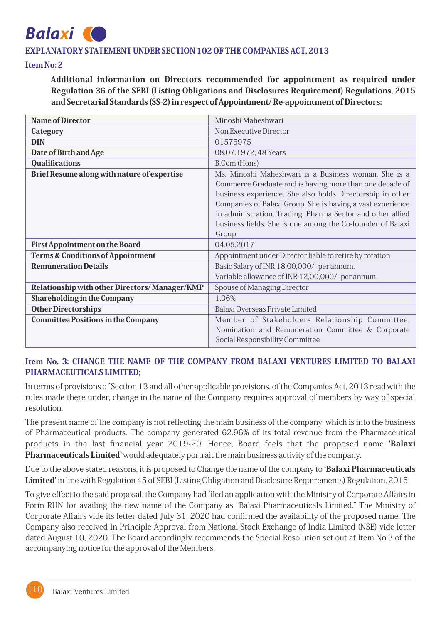## **Balaxi**

#### EXPLANATORY STATEMENT UNDER SECTION 102 OF THE COMPANIES ACT, 2013

#### ItemNo:2

Additional information on Directors recommended for appointment as required under Regulation 36 of the SEBI (Listing Obligations and Disclosures Requirement) Regulations, 2015 and Secretarial Standards (SS-2) in respect of Appointment/Re-appointment of Directors:

| <b>Name of Director</b>                       | Minoshi Maheshwari                                                                                                                                                                                                                                                                                                                                                              |
|-----------------------------------------------|---------------------------------------------------------------------------------------------------------------------------------------------------------------------------------------------------------------------------------------------------------------------------------------------------------------------------------------------------------------------------------|
| Category                                      | Non Executive Director                                                                                                                                                                                                                                                                                                                                                          |
| <b>DIN</b>                                    | 01575975                                                                                                                                                                                                                                                                                                                                                                        |
| Date of Birth and Age                         | 08.07.1972, 48 Years                                                                                                                                                                                                                                                                                                                                                            |
| <b>Qualifications</b>                         | B.Com (Hons)                                                                                                                                                                                                                                                                                                                                                                    |
| Brief Resume along with nature of expertise   | Ms. Minoshi Maheshwari is a Business woman. She is a<br>Commerce Graduate and is having more than one decade of<br>business experience. She also holds Directorship in other<br>Companies of Balaxi Group. She is having a vast experience<br>in administration, Trading, Pharma Sector and other allied<br>business fields. She is one among the Co-founder of Balaxi<br>Group |
| <b>First Appointment on the Board</b>         | 04.05.2017                                                                                                                                                                                                                                                                                                                                                                      |
| <b>Terms &amp; Conditions of Appointment</b>  | Appointment under Director liable to retire by rotation                                                                                                                                                                                                                                                                                                                         |
| <b>Remuneration Details</b>                   | Basic Salary of INR 18,00,000/- per annum.<br>Variable allowance of INR 12,00,000/- per annum.                                                                                                                                                                                                                                                                                  |
| Relationship with other Directors/Manager/KMP | Spouse of Managing Director                                                                                                                                                                                                                                                                                                                                                     |
| <b>Shareholding in the Company</b>            | 1.06%                                                                                                                                                                                                                                                                                                                                                                           |
| <b>Other Directorships</b>                    | Balaxi Overseas Private Limited                                                                                                                                                                                                                                                                                                                                                 |
| <b>Committee Positions in the Company</b>     | Member of Stakeholders Relationship Committee,<br>Nomination and Remuneration Committee & Corporate<br>Social Responsibility Committee                                                                                                                                                                                                                                          |

#### Item No. 3: CHANGE THE NAME OF THE COMPANY FROM BALAXI VENTURES LIMITED TO BALAXI PHARMACEUTICALSLIMITED;

In terms of provisions of Section 13 and all other applicable provisions, of the Companies Act, 2013 read with the rules made there under, change in the name of the Company requires approval of members by way of special resolution.

The present name of the company is not reflecting the main business of the company, which is into the business of Pharmaceutical products. The company generated 62.96% of its total revenue from the Pharmaceutical products in the last financial year 2019-20. Hence, Board feels that the proposed name 'Balaxi Pharmaceuticals Limited' would adequately portrait the main business activity of the company.

Due to the above stated reasons, it is proposed to Change the name of the company to **'Balaxi Pharmaceuticals** Limited' in line with Regulation 45 of SEBI (Listing Obligation and Disclosure Requirements) Regulation, 2015.

To give effect to the said proposal, the Company had filed an application with the Ministry of Corporate Affairs in Form RUN for availing the new name of the Company as "Balaxi Pharmaceuticals Limited." The Ministry of Corporate Affairs vide its letter dated July 31, 2020 had confirmed the availability of the proposed name. The Company also received In Principle Approval from National Stock Exchange of India Limited (NSE) vide letter dated August 10, 2020. The Board accordingly recommends the Special Resolution set out at Item No.3 of the accompanying notice for the approval of the Members.